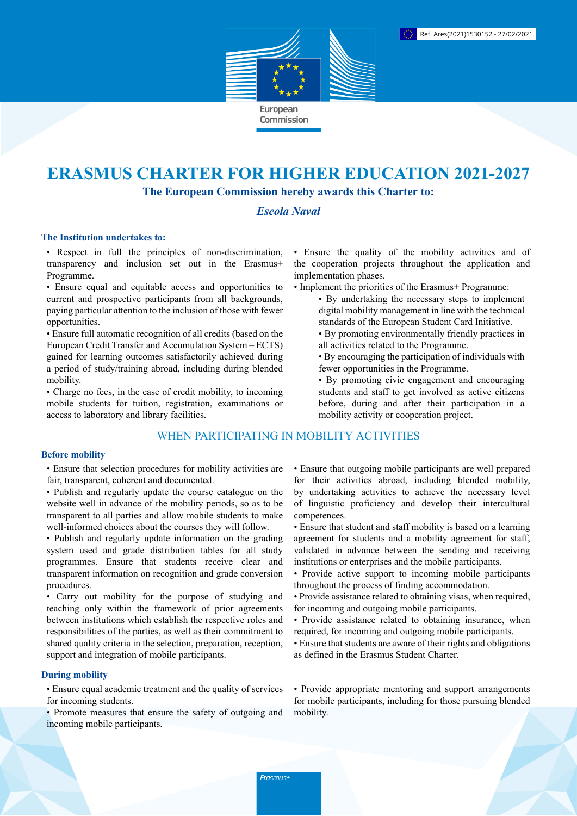

# **ERASMUS CHARTER FOR HIGHER EDUCATION 2021-2027**

**The European Commission hereby awards this Charter to:**

# *Escola Naval*

#### **The Institution undertakes to:**

• Respect in full the principles of non-discrimination, transparency and inclusion set out in the Erasmus+ Programme.

• Ensure equal and equitable access and opportunities to current and prospective participants from all backgrounds, paying particular attention to the inclusion of those with fewer opportunities.

• Ensure full automatic recognition of all credits (based on the European Credit Transfer and Accumulation System – ECTS) gained for learning outcomes satisfactorily achieved during a period of study/training abroad, including during blended mobility.

• Charge no fees, in the case of credit mobility, to incoming mobile students for tuition, registration, examinations or access to laboratory and library facilities.

# WHEN PARTICIPATING IN MOBILITY ACTIVITIES

#### **Before mobility**

• Ensure that selection procedures for mobility activities are fair, transparent, coherent and documented.

- Publish and regularly update the course catalogue on the website well in advance of the mobility periods, so as to be transparent to all parties and allow mobile students to make well-informed choices about the courses they will follow.
- Publish and regularly update information on the grading system used and grade distribution tables for all study programmes. Ensure that students receive clear and transparent information on recognition and grade conversion procedures.

• Carry out mobility for the purpose of studying and teaching only within the framework of prior agreements between institutions which establish the respective roles and responsibilities of the parties, as well as their commitment to shared quality criteria in the selection, preparation, reception, support and integration of mobile participants.

### **During mobility**

• Ensure equal academic treatment and the quality of services for incoming students.

• Promote measures that ensure the safety of outgoing and incoming mobile participants.

• Ensure the quality of the mobility activities and of the cooperation projects throughout the application and implementation phases.

- Implement the priorities of the Erasmus+ Programme:
	- By undertaking the necessary steps to implement digital mobility management in line with the technical standards of the European Student Card Initiative.
	- By promoting environmentally friendly practices in all activities related to the Programme.
	- By encouraging the participation of individuals with fewer opportunities in the Programme.
	- By promoting civic engagement and encouraging students and staff to get involved as active citizens before, during and after their participation in a mobility activity or cooperation project.

• Ensure that outgoing mobile participants are well prepared for their activities abroad, including blended mobility, by undertaking activities to achieve the necessary level of linguistic proficiency and develop their intercultural competences.

- Ensure that student and staff mobility is based on a learning agreement for students and a mobility agreement for staff, validated in advance between the sending and receiving institutions or enterprises and the mobile participants.
- Provide active support to incoming mobile participants throughout the process of finding accommodation.
- Provide assistance related to obtaining visas, when required, for incoming and outgoing mobile participants.
- Provide assistance related to obtaining insurance, when required, for incoming and outgoing mobile participants.
- Ensure that students are aware of their rights and obligations as defined in the Erasmus Student Charter.

• Provide appropriate mentoring and support arrangements for mobile participants, including for those pursuing blended mobility.

Erasmus+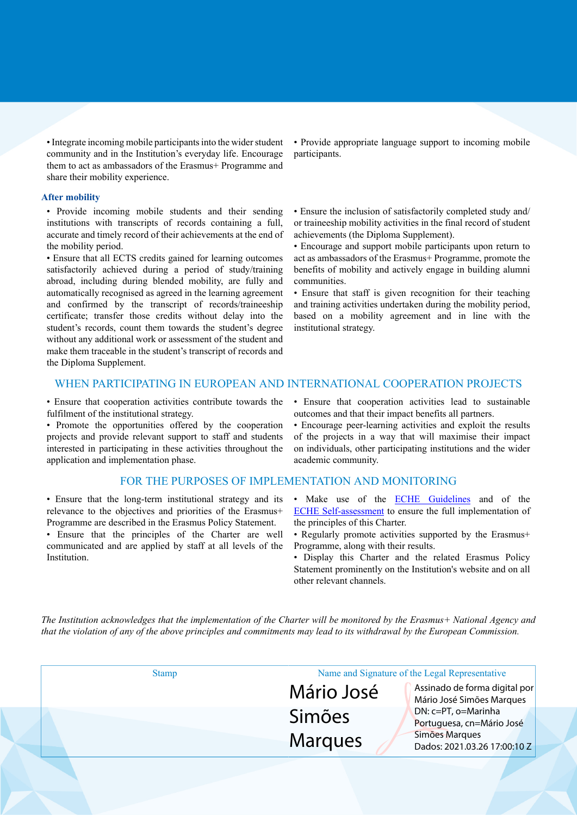• Integrate incoming mobile participants into the wider student community and in the Institution's everyday life. Encourage them to act as ambassadors of the Erasmus+ Programme and share their mobility experience.

#### **After mobility**

• Provide incoming mobile students and their sending institutions with transcripts of records containing a full, accurate and timely record of their achievements at the end of the mobility period.

• Ensure that all ECTS credits gained for learning outcomes satisfactorily achieved during a period of study/training abroad, including during blended mobility, are fully and automatically recognised as agreed in the learning agreement and confirmed by the transcript of records/traineeship certificate; transfer those credits without delay into the student's records, count them towards the student's degree without any additional work or assessment of the student and make them traceable in the student's transcript of records and the Diploma Supplement.

• Provide appropriate language support to incoming mobile participants.

• Ensure the inclusion of satisfactorily completed study and/ or traineeship mobility activities in the final record of student achievements (the Diploma Supplement).

• Encourage and support mobile participants upon return to act as ambassadors of the Erasmus+ Programme, promote the benefits of mobility and actively engage in building alumni communities.

• Ensure that staff is given recognition for their teaching and training activities undertaken during the mobility period, based on a mobility agreement and in line with the institutional strategy.

## WHEN PARTICIPATING IN EUROPEAN AND INTERNATIONAL COOPERATION PROJECTS

• Ensure that cooperation activities contribute towards the fulfilment of the institutional strategy.

• Promote the opportunities offered by the cooperation projects and provide relevant support to staff and students interested in participating in these activities throughout the application and implementation phase.

#### FOR THE PURPOSES OF IMPLEMENTATION AND MONITORING

• Ensure that the long-term institutional strategy and its relevance to the objectives and priorities of the Erasmus+ Programme are described in the Erasmus Policy Statement.

• Ensure that the principles of the Charter are well communicated and are applied by staff at all levels of the Institution.

• Ensure that cooperation activities lead to sustainable outcomes and that their impact benefits all partners.

• Encourage peer-learning activities and exploit the results of the projects in a way that will maximise their impact on individuals, other participating institutions and the wider academic community.

- Make use of the **ECHE Guidelines** and of the [ECHE Self-assessment](https://ec.europa.eu/programmes/erasmus-plus/eche/start_en) to ensure the full implementation of the principles of this Charter.
- Regularly promote activities supported by the Erasmus+ Programme, along with their results.
- Display this Charter and the related Erasmus Policy Statement prominently on the Institution's website and on all other relevant channels.

The Institution acknowledges that the implementation of the Charter will be monitored by the Erasmus+ National Agency and that the violation of any of the above principles and commitments may lead to its withdrawal by the European Commission.

| <b>Stamp</b> |               | Name and Signature of the Legal Representative             |  |
|--------------|---------------|------------------------------------------------------------|--|
|              | Mário José    | Assinado de forma digital por<br>Mário José Simões Marques |  |
|              | <b>Simões</b> | DN: c=PT, o=Marinha<br>Portuguesa, cn=Mário José           |  |
|              | Marques       | Simões Marques<br>Dados: 2021.03.26 17:00:10 Z             |  |
|              |               |                                                            |  |